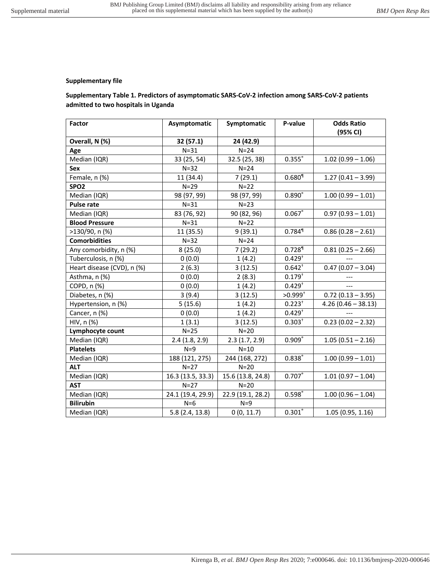## **Supplementary file**

## **Supplementary Table 1. Predictors of asymptomatic SARS-CoV-2 infection among SARS-CoV-2 patients admitted to two hospitals in Uganda**

| <b>Factor</b>              | Asymptomatic      | Symptomatic       | P-value              | <b>Odds Ratio</b><br>(95% CI) |
|----------------------------|-------------------|-------------------|----------------------|-------------------------------|
| Overall, N (%)             | 32 (57.1)         | 24 (42.9)         |                      |                               |
| Age                        | $N = 31$          | $N = 24$          |                      |                               |
| Median (IQR)               | 33 (25, 54)       | 32.5 (25, 38)     | 0.355                | $1.02(0.99 - 1.06)$           |
| Sex                        | $N=32$            | $N = 24$          |                      |                               |
| Female, n (%)              | 11 (34.4)         | 7(29.1)           | $0.680$ <sup>1</sup> | $1.27(0.41 - 3.99)$           |
| SPO <sub>2</sub>           | $N = 29$          | $N=22$            |                      |                               |
| Median (IQR)               | 98 (97, 99)       | 98 (97, 99)       | $0.890^{\circ}$      | $1.00(0.99 - 1.01)$           |
| <b>Pulse rate</b>          | $N = 31$          | $N = 23$          |                      |                               |
| Median (IQR)               | 83 (76, 92)       | 90 (82, 96)       | 0.067                | $0.97(0.93 - 1.01)$           |
| <b>Blood Pressure</b>      | $N = 31$          | $N=22$            |                      |                               |
| $>130/90$ , n (%)          | 11 (35.5)         | 9(39.1)           | $0.784$ <sup>1</sup> | $0.86(0.28 - 2.61)$           |
| <b>Comorbidities</b>       | $N = 32$          | $N = 24$          |                      |                               |
| Any comorbidity, n (%)     | 8(25.0)           | 7(29.2)           | $0.728$ <sup>1</sup> | $0.81(0.25 - 2.66)$           |
| Tuberculosis, n (%)        | 0(0.0)            | 1(4.2)            | $0.429^{+}$          |                               |
| Heart disease (CVD), n (%) | 2(6.3)            | 3(12.5)           | $0.642^{+}$          | $0.47(0.07 - 3.04)$           |
| Asthma, n (%)              | 0(0.0)            | 2(8.3)            | $0.179^{+}$          | ---                           |
| COPD, n (%)                | 0(0.0)            | 1(4.2)            | $0.429^{+}$          | $---$                         |
| Diabetes, n (%)            | 3(9.4)            | 3(12.5)           | $>0.999^+$           | $0.72(0.13 - 3.95)$           |
| Hypertension, n (%)        | 5(15.6)           | 1(4.2)            | $0.223^{+}$          | $4.26(0.46 - 38.13)$          |
| Cancer, n (%)              | 0(0.0)            | 1(4.2)            | $0.429^{+}$          |                               |
| HIV, n (%)                 | 1(3.1)            | 3(12.5)           | $0.303^{+}$          | $0.23(0.02 - 2.32)$           |
| Lymphocyte count           | $N = 25$          | $N=20$            |                      |                               |
| Median (IQR)               | 2.4(1.8, 2.9)     | 2.3(1.7, 2.9)     | 0.909                | $1.05(0.51 - 2.16)$           |
| <b>Platelets</b>           | $N=9$             | $N=10$            |                      |                               |
| Median (IQR)               | 188 (121, 275)    | 244 (168, 272)    | 0.838°               | $1.00(0.99 - 1.01)$           |
| <b>ALT</b>                 | $N=27$            | $N=20$            |                      |                               |
| Median (IQR)               | 16.3 (13.5, 33.3) | 15.6 (13.8, 24.8) | $0.707$ °            | $1.01(0.97 - 1.04)$           |
| <b>AST</b>                 | $N=27$            | $N=20$            |                      |                               |
| Median (IQR)               | 24.1 (19.4, 29.9) | 22.9 (19.1, 28.2) | 0.598°               | $1.00(0.96 - 1.04)$           |
| <b>Bilirubin</b>           | $N=6$             | $N=9$             |                      |                               |
| Median (IQR)               | 5.8(2.4, 13.8)    | 0(0, 11.7)        | $0.301^{\circ}$      | 1.05(0.95, 1.16)              |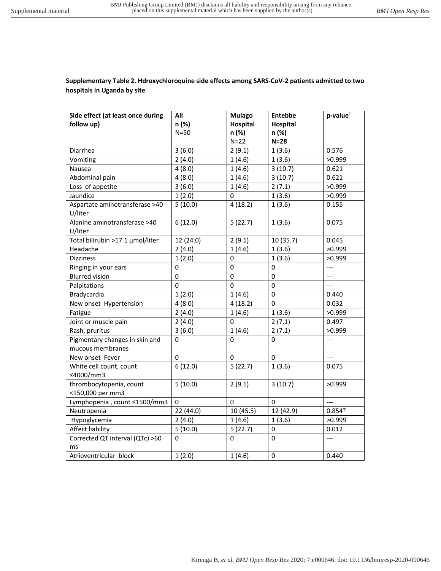## **Supplementary Table 2. Hdroxychloroquine side effects among SARS-CoV-2 patients admitted to two hospitals in Uganda by site**

| Side effect (at least once during | All         | <b>Mulago</b>   | <b>Entebbe</b>  | $p$ -value $†$                    |
|-----------------------------------|-------------|-----------------|-----------------|-----------------------------------|
| follow up)                        | n (%)       | <b>Hospital</b> | <b>Hospital</b> |                                   |
|                                   | $N=50$      | n (%)           | n (%)           |                                   |
|                                   |             | $N=22$          | $N=28$          |                                   |
| Diarrhea                          | 3(6.0)      | 2(9.1)          | 1(3.6)          | 0.576                             |
| Vomiting                          | 2(4.0)      | 1(4.6)          | 1(3.6)          | >0.999                            |
| Nausea                            | 4(8.0)      | 1(4.6)          | 3(10.7)         | 0.621                             |
| Abdominal pain                    | 4(8.0)      | 1(4.6)          | 3(10.7)         | 0.621                             |
| Loss of appetite                  | 3(6.0)      | 1(4.6)          | 2(7.1)          | >0.999                            |
| Jaundice                          | 1(2.0)      | $\mathbf 0$     | 1(3.6)          | >0.999                            |
| Aspartate aminotransferase >40    | 5(10.0)     | 4(18.2)         | 1(3.6)          | 0.155                             |
| U/liter                           |             |                 |                 |                                   |
| Alanine aminotransferase >40      | 6(12.0)     | 5(22.7)         | 1(3.6)          | 0.075                             |
| U/liter                           |             |                 |                 |                                   |
| Total bilirubin >17.1 µmol/liter  | 12 (24.0)   | 2(9.1)          | 10 (35.7)       | 0.045                             |
| Headache                          | 2(4.0)      | 1(4.6)          | 1(3.6)          | >0.999                            |
| <b>Dizziness</b>                  | 1(2.0)      | 0               | 1(3.6)          | >0.999                            |
| Ringing in your ears              | 0           | 0               | 0               | $\overline{\phantom{a}}$          |
| <b>Blurred vision</b>             | 0           | 0               | $\pmb{0}$       | $---$                             |
| Palpitations                      | 0           | 0               | 0               | $---$                             |
| Bradycardia                       | 1(2.0)      | 1(4.6)          | 0               | 0.440                             |
| New onset Hypertension            | 4(8.0)      | 4(18.2)         | 0               | 0.032                             |
| Fatigue                           | 2(4.0)      | 1(4.6)          | 1(3.6)          | >0.999                            |
| Joint or muscle pain              | 2(4.0)      | 0               | 2(7.1)          | 0.497                             |
| Rash, pruritus                    | 3(6.0)      | 1(4.6)          | 2(7.1)          | >0.999                            |
| Pigmentary changes in skin and    | 0           | 0               | 0               | $\qquad \qquad - -$               |
| mucous membranes                  |             |                 |                 |                                   |
| New onset Fever                   | $\mathbf 0$ | $\Omega$        | $\mathbf 0$     | $\overline{a}$                    |
| White cell count, count           | 6(12.0)     | 5(22.7)         | 1(3.6)          | 0.075                             |
| ≤4000/mm3                         |             |                 |                 |                                   |
| thrombocytopenia, count           | 5(10.0)     | 2(9.1)          | 3(10.7)         | >0.999                            |
| <150,000 per mm3                  |             |                 |                 |                                   |
| Lymphopenia, count ≤1500/mm3      | 0           | $\Omega$        | $\Omega$        | $---$                             |
| Neutropenia                       | 22 (44.0)   | 10(45.5)        | 12 (42.9)       | $0.854$ <sup><math>%</math></sup> |
| Hypoglycemia                      | 2(4.0)      | 1(4.6)          | 1(3.6)          | >0.999                            |
| <b>Affect liability</b>           | 5(10.0)     | 5(22.7)         | 0               | 0.012                             |
| Corrected QT interval (QTc) >60   | 0           | 0               | 0               | $\qquad \qquad - -$               |
| ms                                |             |                 |                 |                                   |
| Atrioventricular block            | 1(2.0)      | 1(4.6)          | 0               | 0.440                             |